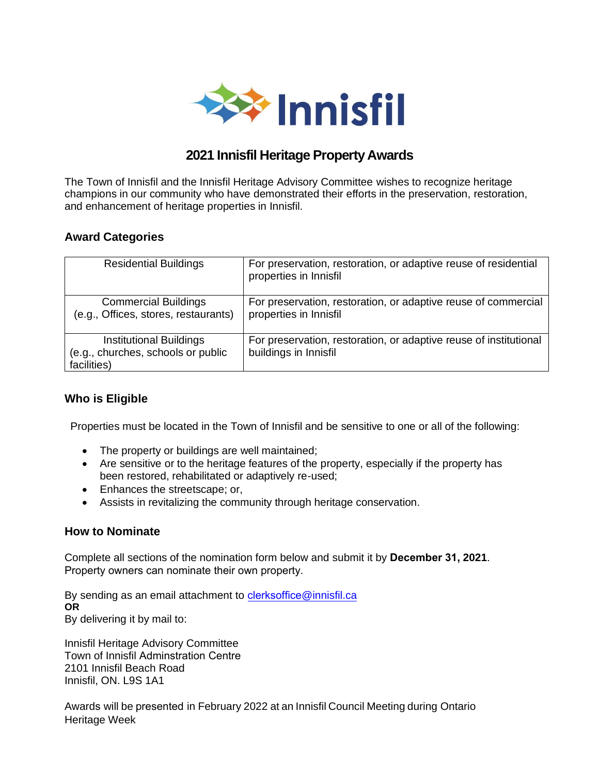

# **2021 Innisfil Heritage Property Awards**

The Town of Innisfil and the Innisfil Heritage Advisory Committee wishes to recognize heritage champions in our community who have demonstrated their efforts in the preservation, restoration, and enhancement of heritage properties in Innisfil.

## **Award Categories**

| <b>Residential Buildings</b>         | For preservation, restoration, or adaptive reuse of residential<br>properties in Innisfil |
|--------------------------------------|-------------------------------------------------------------------------------------------|
| <b>Commercial Buildings</b>          | For preservation, restoration, or adaptive reuse of commercial                            |
|                                      |                                                                                           |
| (e.g., Offices, stores, restaurants) | properties in Innisfil                                                                    |
|                                      |                                                                                           |
| <b>Institutional Buildings</b>       | For preservation, restoration, or adaptive reuse of institutional                         |
| (e.g., churches, schools or public   | buildings in Innisfil                                                                     |
|                                      |                                                                                           |
| facilities)                          |                                                                                           |
|                                      |                                                                                           |

# **Who is Eligible**

Properties must be located in the Town of Innisfil and be sensitive to one or all of the following:

- The property or buildings are well maintained;
- Are sensitive or to the heritage features of the property, especially if the property has been restored, rehabilitated or adaptively re-used;
- Enhances the streetscape; or,
- Assists in revitalizing the community through heritage conservation.

### **How to Nominate**

Complete all sections of the nomination form below and submit it by **December 31, 2021**. Property owners can nominate their o[wn property.](mailto:heritageawards@innisfil.ca)

By sending as an email attachment to clerksoffice@innisfil.ca **OR**  By delivering it by mail to:

Innisfil Heritage Advisory Committee Town of Innisfil Adminstration Centre 2101 Innisfil Beach Road Innisfil, ON. L9S 1A1

Awards will be presented in February 2022 at an Innisfil Council Meeting during Ontario Heritage Week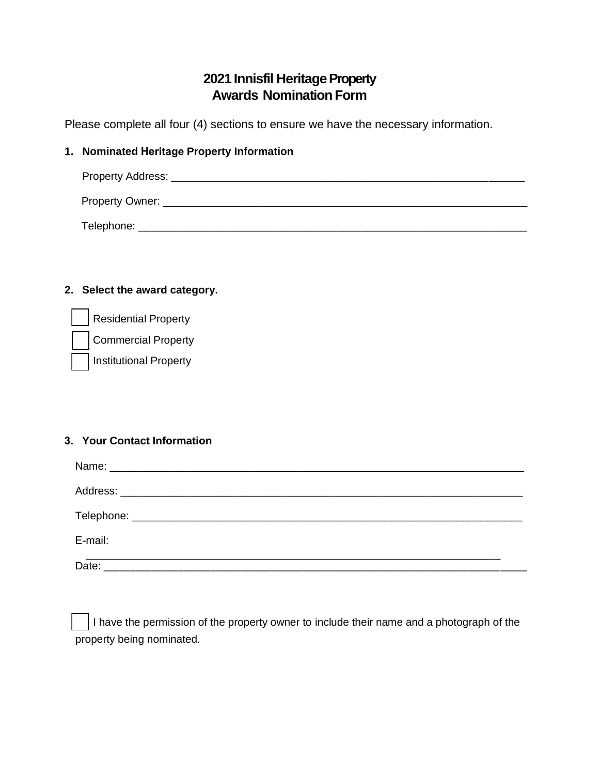# **2021 Innisfil Heritage Property Awards Nomination Form**

Please complete all four (4) sections to ensure we have the necessary information.

### **1. Nominated Heritage Property Information**

| Property Address: |  |  |
|-------------------|--|--|
| Property Owner: _ |  |  |
| Telephone:        |  |  |

## **2. Select the award category.**

| Residential Property   |
|------------------------|
| Commercial Property    |
| Institutional Property |

#### **3. Your Contact Information**

| E-mail: |  |
|---------|--|
|         |  |

I have the permission of the property owner to include their name and a photograph of the property being nominated.